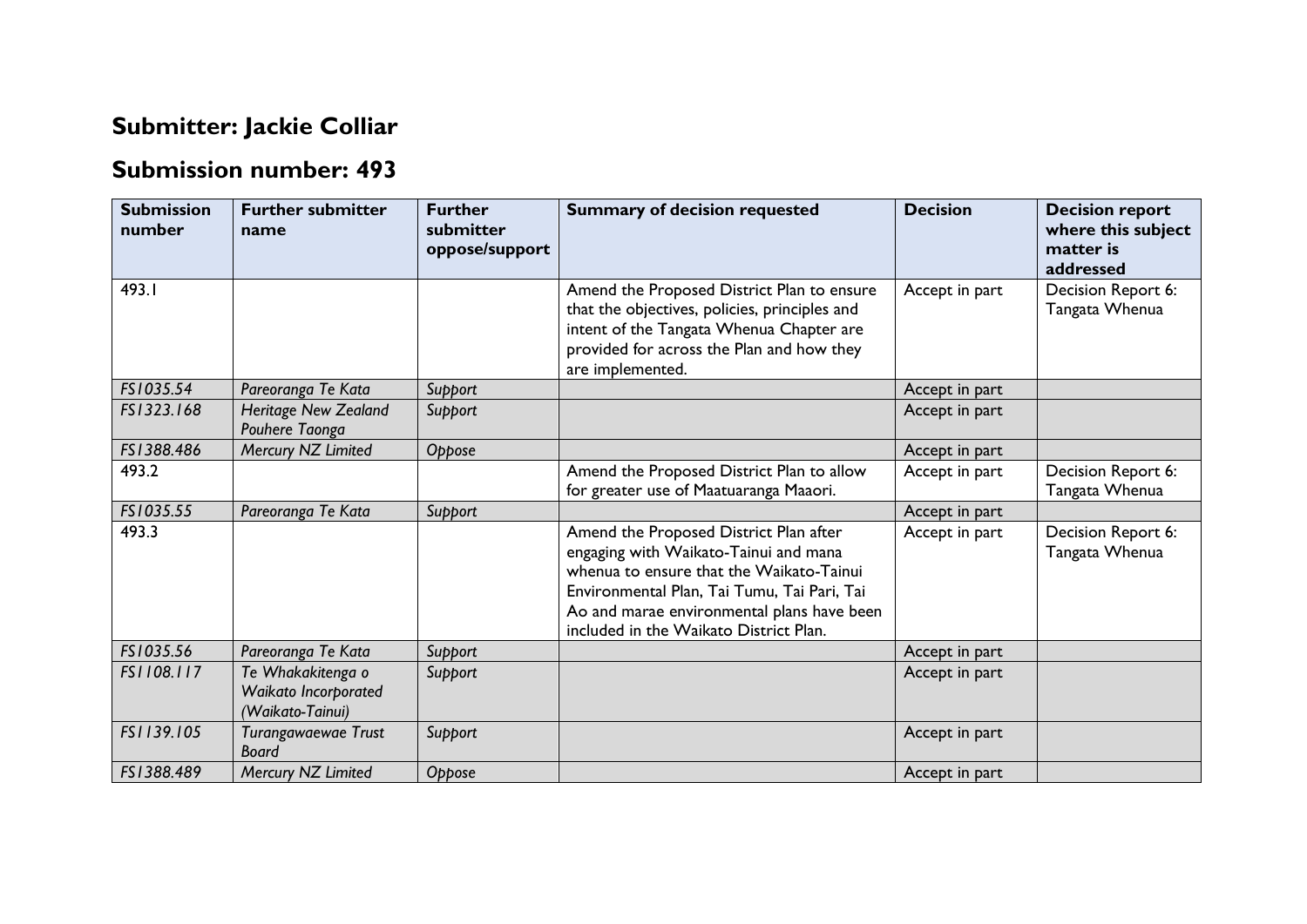## **Submitter: Jackie Colliar**

## **Submission number: 493**

| <b>Submission</b><br>number | <b>Further submitter</b><br>name                              | <b>Further</b><br>submitter<br>oppose/support | <b>Summary of decision requested</b>                                                                                                                                                                                                                               | <b>Decision</b> | <b>Decision report</b><br>where this subject<br>matter is<br>addressed |
|-----------------------------|---------------------------------------------------------------|-----------------------------------------------|--------------------------------------------------------------------------------------------------------------------------------------------------------------------------------------------------------------------------------------------------------------------|-----------------|------------------------------------------------------------------------|
| 493.I                       |                                                               |                                               | Amend the Proposed District Plan to ensure<br>that the objectives, policies, principles and<br>intent of the Tangata Whenua Chapter are<br>provided for across the Plan and how they<br>are implemented.                                                           | Accept in part  | Decision Report 6:<br>Tangata Whenua                                   |
| FS1035.54                   | Pareoranga Te Kata                                            | Support                                       |                                                                                                                                                                                                                                                                    | Accept in part  |                                                                        |
| FS1323.168                  | Heritage New Zealand<br>Pouhere Taonga                        | Support                                       |                                                                                                                                                                                                                                                                    | Accept in part  |                                                                        |
| FS1388.486                  | Mercury NZ Limited                                            | Oppose                                        |                                                                                                                                                                                                                                                                    | Accept in part  |                                                                        |
| 493.2                       |                                                               |                                               | Amend the Proposed District Plan to allow<br>for greater use of Maatuaranga Maaori.                                                                                                                                                                                | Accept in part  | Decision Report 6:<br>Tangata Whenua                                   |
| FS1035.55                   | Pareoranga Te Kata                                            | Support                                       |                                                                                                                                                                                                                                                                    | Accept in part  |                                                                        |
| 493.3                       |                                                               |                                               | Amend the Proposed District Plan after<br>engaging with Waikato-Tainui and mana<br>whenua to ensure that the Waikato-Tainui<br>Environmental Plan, Tai Tumu, Tai Pari, Tai<br>Ao and marae environmental plans have been<br>included in the Waikato District Plan. | Accept in part  | Decision Report 6:<br>Tangata Whenua                                   |
| FS1035.56                   | Pareoranga Te Kata                                            | Support                                       |                                                                                                                                                                                                                                                                    | Accept in part  |                                                                        |
| FS1108.117                  | Te Whakakitenga o<br>Waikato Incorporated<br>(Waikato-Tainui) | Support                                       |                                                                                                                                                                                                                                                                    | Accept in part  |                                                                        |
| FS1139.105                  | Turangawaewae Trust<br>Board                                  | Support                                       |                                                                                                                                                                                                                                                                    | Accept in part  |                                                                        |
| FS1388.489                  | Mercury NZ Limited                                            | Oppose                                        |                                                                                                                                                                                                                                                                    | Accept in part  |                                                                        |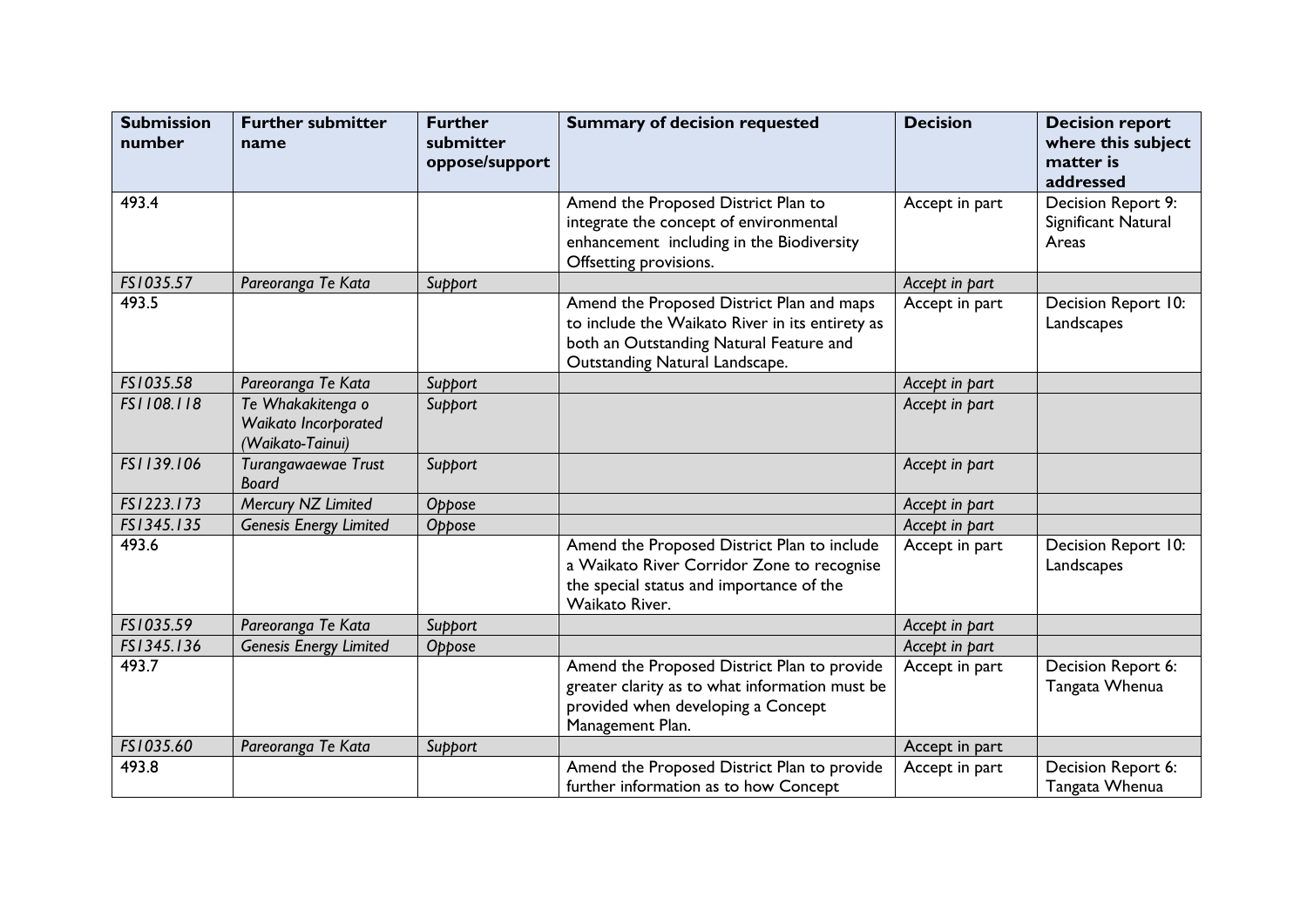| <b>Submission</b><br>number | <b>Further submitter</b><br>name                              | <b>Further</b><br>submitter<br>oppose/support | <b>Summary of decision requested</b>                                                                                                                                      | <b>Decision</b> | <b>Decision report</b><br>where this subject<br>matter is<br>addressed |
|-----------------------------|---------------------------------------------------------------|-----------------------------------------------|---------------------------------------------------------------------------------------------------------------------------------------------------------------------------|-----------------|------------------------------------------------------------------------|
| 493.4                       |                                                               |                                               | Amend the Proposed District Plan to<br>integrate the concept of environmental<br>enhancement including in the Biodiversity<br>Offsetting provisions.                      | Accept in part  | Decision Report 9:<br>Significant Natural<br>Areas                     |
| FS1035.57                   | Pareoranga Te Kata                                            | Support                                       |                                                                                                                                                                           | Accept in part  |                                                                        |
| 493.5                       |                                                               |                                               | Amend the Proposed District Plan and maps<br>to include the Waikato River in its entirety as<br>both an Outstanding Natural Feature and<br>Outstanding Natural Landscape. | Accept in part  | Decision Report 10:<br>Landscapes                                      |
| FS1035.58                   | Pareoranga Te Kata                                            | Support                                       |                                                                                                                                                                           | Accept in part  |                                                                        |
| FS1108.118                  | Te Whakakitenga o<br>Waikato Incorporated<br>(Waikato-Tainui) | Support                                       |                                                                                                                                                                           | Accept in part  |                                                                        |
| FS1139.106                  | Turangawaewae Trust<br><b>Board</b>                           | Support                                       |                                                                                                                                                                           | Accept in part  |                                                                        |
| FS1223.173                  | Mercury NZ Limited                                            | Oppose                                        |                                                                                                                                                                           | Accept in part  |                                                                        |
| FS1345.135                  | <b>Genesis Energy Limited</b>                                 | Oppose                                        |                                                                                                                                                                           | Accept in part  |                                                                        |
| 493.6                       |                                                               |                                               | Amend the Proposed District Plan to include<br>a Waikato River Corridor Zone to recognise<br>the special status and importance of the<br>Waikato River.                   | Accept in part  | Decision Report 10:<br>Landscapes                                      |
| FS1035.59                   | Pareoranga Te Kata                                            | Support                                       |                                                                                                                                                                           | Accept in part  |                                                                        |
| FS1345.136                  | <b>Genesis Energy Limited</b>                                 | Oppose                                        |                                                                                                                                                                           | Accept in part  |                                                                        |
| 493.7                       |                                                               |                                               | Amend the Proposed District Plan to provide<br>greater clarity as to what information must be<br>provided when developing a Concept<br>Management Plan.                   | Accept in part  | Decision Report 6:<br>Tangata Whenua                                   |
| FS1035.60                   | Pareoranga Te Kata                                            | Support                                       |                                                                                                                                                                           | Accept in part  |                                                                        |
| 493.8                       |                                                               |                                               | Amend the Proposed District Plan to provide<br>further information as to how Concept                                                                                      | Accept in part  | Decision Report 6:<br>Tangata Whenua                                   |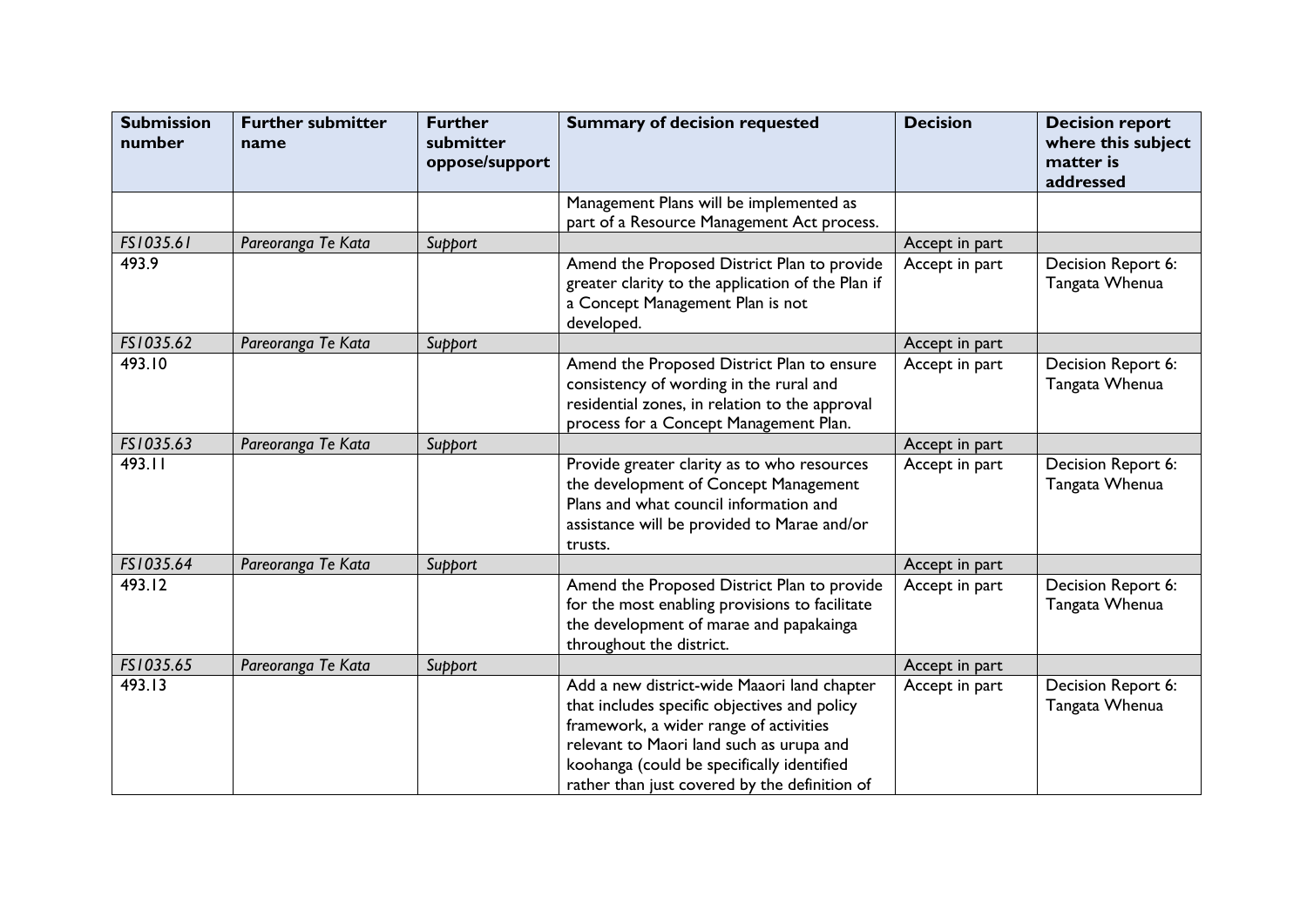| <b>Submission</b><br>number | <b>Further submitter</b><br>name | <b>Further</b><br>submitter<br>oppose/support | <b>Summary of decision requested</b>                                                                                                                                                                                                                                             | <b>Decision</b> | <b>Decision report</b><br>where this subject<br>matter is<br>addressed |
|-----------------------------|----------------------------------|-----------------------------------------------|----------------------------------------------------------------------------------------------------------------------------------------------------------------------------------------------------------------------------------------------------------------------------------|-----------------|------------------------------------------------------------------------|
|                             |                                  |                                               | Management Plans will be implemented as<br>part of a Resource Management Act process.                                                                                                                                                                                            |                 |                                                                        |
| FS1035.61                   | Pareoranga Te Kata               | Support                                       |                                                                                                                                                                                                                                                                                  | Accept in part  |                                                                        |
| 493.9                       |                                  |                                               | Amend the Proposed District Plan to provide<br>greater clarity to the application of the Plan if<br>a Concept Management Plan is not<br>developed.                                                                                                                               | Accept in part  | Decision Report 6:<br>Tangata Whenua                                   |
| FS1035.62                   | Pareoranga Te Kata               | Support                                       |                                                                                                                                                                                                                                                                                  | Accept in part  |                                                                        |
| 493.10                      |                                  |                                               | Amend the Proposed District Plan to ensure<br>consistency of wording in the rural and<br>residential zones, in relation to the approval<br>process for a Concept Management Plan.                                                                                                | Accept in part  | Decision Report 6:<br>Tangata Whenua                                   |
| FS1035.63                   | Pareoranga Te Kata               | Support                                       |                                                                                                                                                                                                                                                                                  | Accept in part  |                                                                        |
| 493.11                      |                                  |                                               | Provide greater clarity as to who resources<br>the development of Concept Management<br>Plans and what council information and<br>assistance will be provided to Marae and/or<br>trusts.                                                                                         | Accept in part  | Decision Report 6:<br>Tangata Whenua                                   |
| FS1035.64                   | Pareoranga Te Kata               | Support                                       |                                                                                                                                                                                                                                                                                  | Accept in part  |                                                                        |
| 493.12                      |                                  |                                               | Amend the Proposed District Plan to provide<br>for the most enabling provisions to facilitate<br>the development of marae and papakainga<br>throughout the district.                                                                                                             | Accept in part  | Decision Report 6:<br>Tangata Whenua                                   |
| FS1035.65                   | Pareoranga Te Kata               | Support                                       |                                                                                                                                                                                                                                                                                  | Accept in part  |                                                                        |
| 493.13                      |                                  |                                               | Add a new district-wide Maaori land chapter<br>that includes specific objectives and policy<br>framework, a wider range of activities<br>relevant to Maori land such as urupa and<br>koohanga (could be specifically identified<br>rather than just covered by the definition of | Accept in part  | Decision Report 6:<br>Tangata Whenua                                   |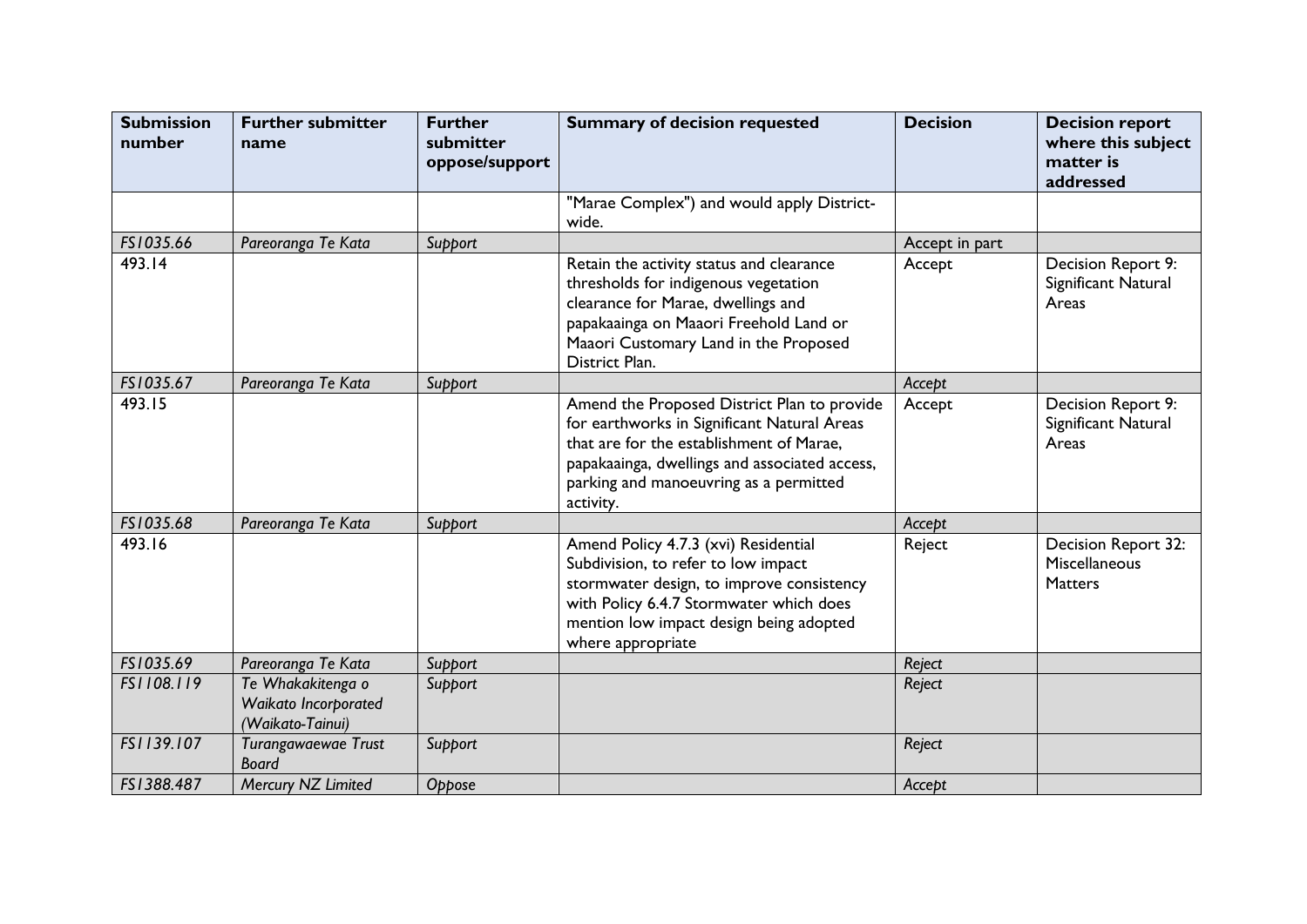| <b>Submission</b><br>number | <b>Further submitter</b><br>name                              | <b>Further</b><br>submitter<br>oppose/support | <b>Summary of decision requested</b>                                                                                                                                                                                                           | <b>Decision</b> | <b>Decision report</b><br>where this subject<br>matter is<br>addressed |
|-----------------------------|---------------------------------------------------------------|-----------------------------------------------|------------------------------------------------------------------------------------------------------------------------------------------------------------------------------------------------------------------------------------------------|-----------------|------------------------------------------------------------------------|
|                             |                                                               |                                               | "Marae Complex") and would apply District-<br>wide.                                                                                                                                                                                            |                 |                                                                        |
| FS1035.66                   | Pareoranga Te Kata                                            | Support                                       |                                                                                                                                                                                                                                                | Accept in part  |                                                                        |
| 493.14                      |                                                               |                                               | Retain the activity status and clearance<br>thresholds for indigenous vegetation<br>clearance for Marae, dwellings and<br>papakaainga on Maaori Freehold Land or<br>Maaori Customary Land in the Proposed<br>District Plan.                    | Accept          | Decision Report 9:<br>Significant Natural<br>Areas                     |
| FS1035.67                   | Pareoranga Te Kata                                            | Support                                       |                                                                                                                                                                                                                                                | Accept          |                                                                        |
| 493.15                      |                                                               |                                               | Amend the Proposed District Plan to provide<br>for earthworks in Significant Natural Areas<br>that are for the establishment of Marae,<br>papakaainga, dwellings and associated access,<br>parking and manoeuvring as a permitted<br>activity. | Accept          | Decision Report 9:<br>Significant Natural<br>Areas                     |
| FS1035.68                   | Pareoranga Te Kata                                            | Support                                       |                                                                                                                                                                                                                                                | Accept          |                                                                        |
| 493.16                      |                                                               |                                               | Amend Policy 4.7.3 (xvi) Residential<br>Subdivision, to refer to low impact<br>stormwater design, to improve consistency<br>with Policy 6.4.7 Stormwater which does<br>mention low impact design being adopted<br>where appropriate            | Reject          | Decision Report 32:<br>Miscellaneous<br><b>Matters</b>                 |
| FS1035.69                   | Pareoranga Te Kata                                            | Support                                       |                                                                                                                                                                                                                                                | Reject          |                                                                        |
| FS1108.119                  | Te Whakakitenga o<br>Waikato Incorporated<br>(Waikato-Tainui) | Support                                       |                                                                                                                                                                                                                                                | Reject          |                                                                        |
| FS1139.107                  | Turangawaewae Trust<br><b>Board</b>                           | Support                                       |                                                                                                                                                                                                                                                | Reject          |                                                                        |
| FS1388.487                  | Mercury NZ Limited                                            | Oppose                                        |                                                                                                                                                                                                                                                | Accept          |                                                                        |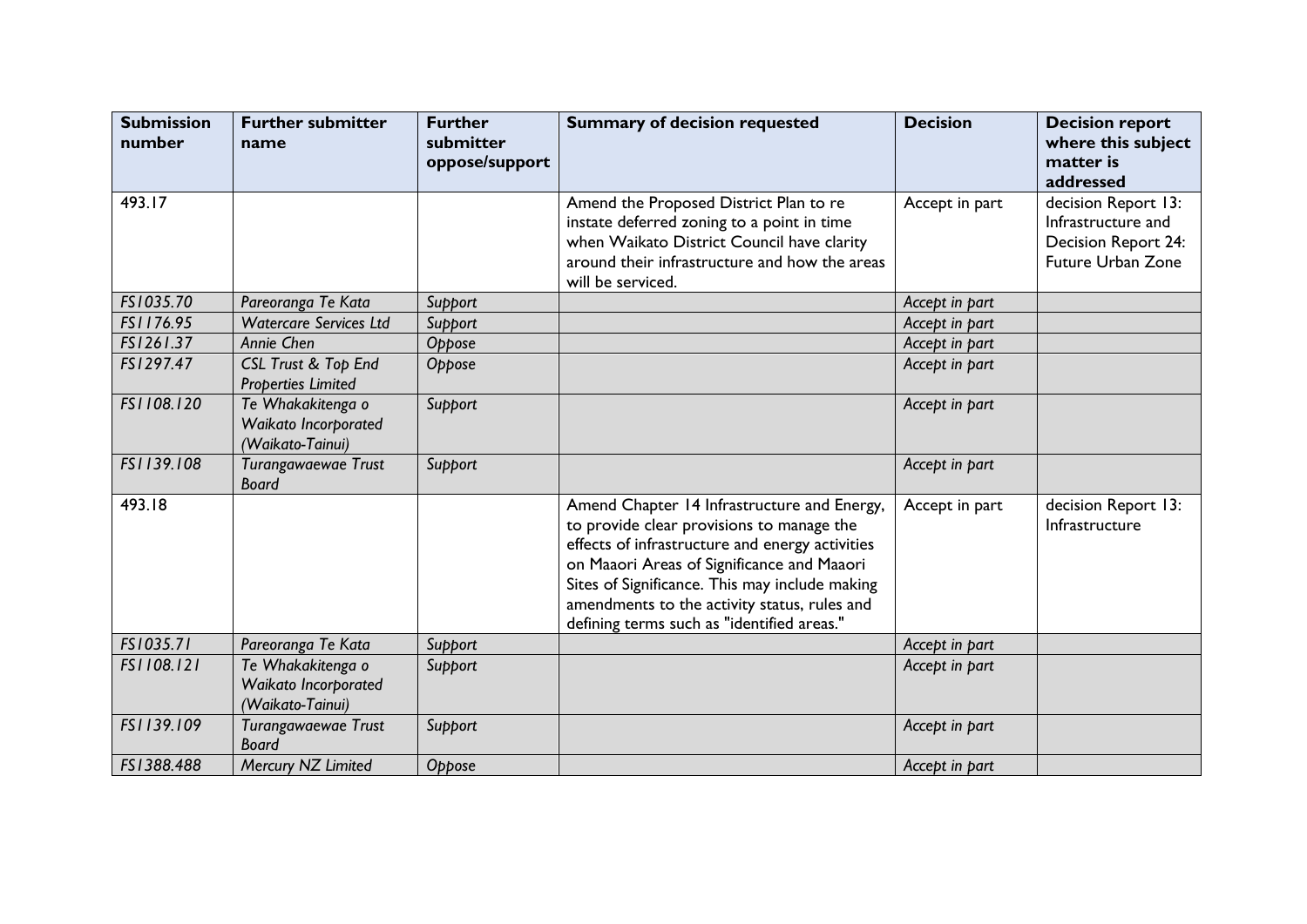| <b>Submission</b><br>number | <b>Further submitter</b><br>name                              | <b>Further</b><br>submitter<br>oppose/support | <b>Summary of decision requested</b>                                                                                                                                                                                                                                                                                                      | <b>Decision</b> | <b>Decision report</b><br>where this subject<br>matter is<br>addressed                       |
|-----------------------------|---------------------------------------------------------------|-----------------------------------------------|-------------------------------------------------------------------------------------------------------------------------------------------------------------------------------------------------------------------------------------------------------------------------------------------------------------------------------------------|-----------------|----------------------------------------------------------------------------------------------|
| 493.17                      |                                                               |                                               | Amend the Proposed District Plan to re<br>instate deferred zoning to a point in time<br>when Waikato District Council have clarity<br>around their infrastructure and how the areas<br>will be serviced.                                                                                                                                  | Accept in part  | decision Report 13:<br>Infrastructure and<br><b>Decision Report 24:</b><br>Future Urban Zone |
| FS1035.70                   | Pareoranga Te Kata                                            | Support                                       |                                                                                                                                                                                                                                                                                                                                           | Accept in part  |                                                                                              |
| FS1176.95                   | <b>Watercare Services Ltd</b>                                 | Support                                       |                                                                                                                                                                                                                                                                                                                                           | Accept in part  |                                                                                              |
| FS1261.37                   | Annie Chen                                                    | Oppose                                        |                                                                                                                                                                                                                                                                                                                                           | Accept in part  |                                                                                              |
| FS1297.47                   | <b>CSL Trust &amp; Top End</b><br><b>Properties Limited</b>   | Oppose                                        |                                                                                                                                                                                                                                                                                                                                           | Accept in part  |                                                                                              |
| FS1108.120                  | Te Whakakitenga o<br>Waikato Incorporated<br>(Waikato-Tainui) | Support                                       |                                                                                                                                                                                                                                                                                                                                           | Accept in part  |                                                                                              |
| FS1139.108                  | Turangawaewae Trust<br><b>Board</b>                           | Support                                       |                                                                                                                                                                                                                                                                                                                                           | Accept in part  |                                                                                              |
| 493.18                      |                                                               |                                               | Amend Chapter 14 Infrastructure and Energy,<br>to provide clear provisions to manage the<br>effects of infrastructure and energy activities<br>on Maaori Areas of Significance and Maaori<br>Sites of Significance. This may include making<br>amendments to the activity status, rules and<br>defining terms such as "identified areas." | Accept in part  | decision Report 13:<br>Infrastructure                                                        |
| FS1035.71                   | Pareoranga Te Kata                                            | Support                                       |                                                                                                                                                                                                                                                                                                                                           | Accept in part  |                                                                                              |
| FS1108.121                  | Te Whakakitenga o<br>Waikato Incorporated<br>(Waikato-Tainui) | Support                                       |                                                                                                                                                                                                                                                                                                                                           | Accept in part  |                                                                                              |
| FS1139.109                  | Turangawaewae Trust<br><b>Board</b>                           | Support                                       |                                                                                                                                                                                                                                                                                                                                           | Accept in part  |                                                                                              |
| FS1388.488                  | Mercury NZ Limited                                            | Oppose                                        |                                                                                                                                                                                                                                                                                                                                           | Accept in part  |                                                                                              |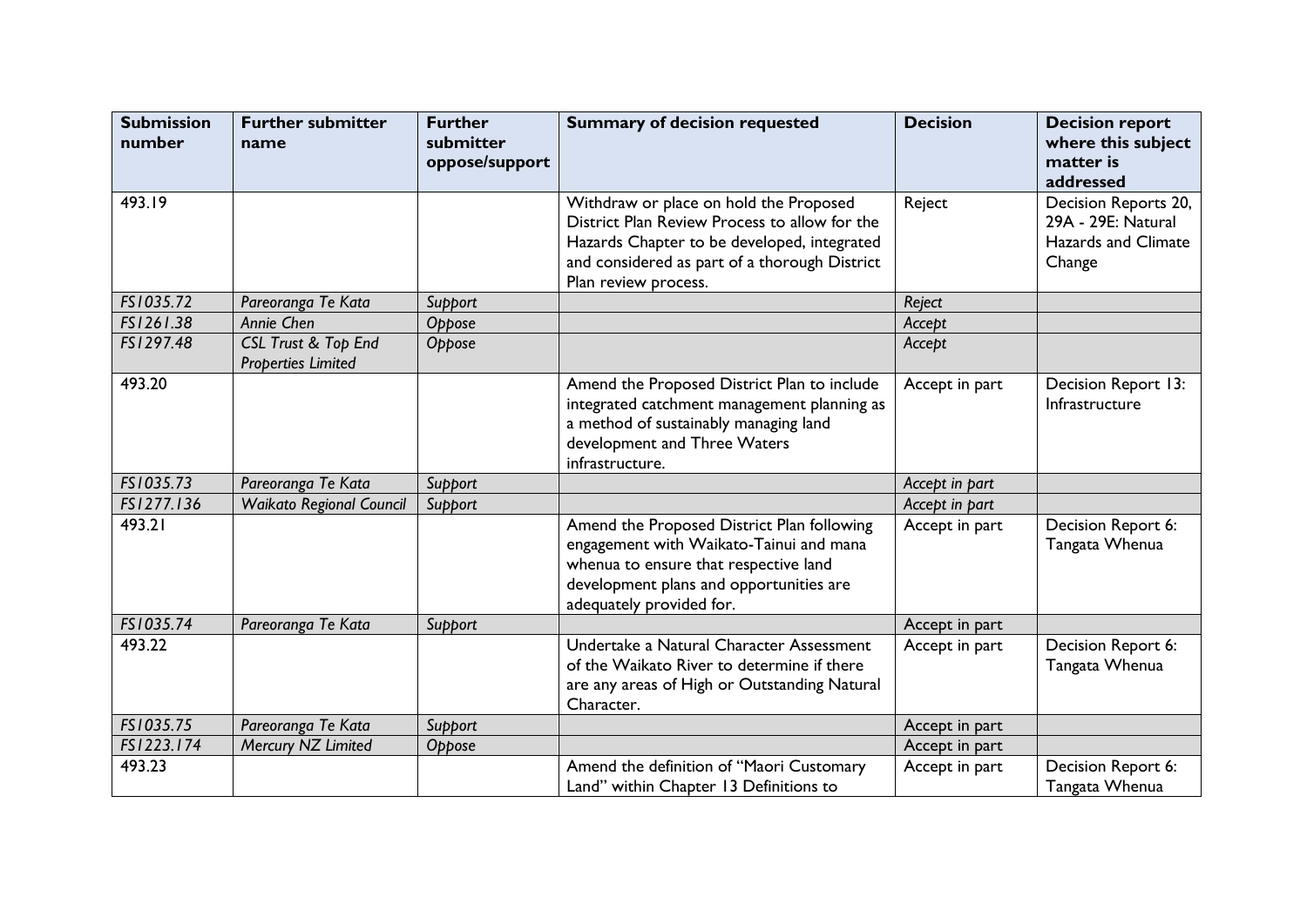| <b>Submission</b><br>number | <b>Further submitter</b><br>name                 | <b>Further</b><br>submitter<br>oppose/support | <b>Summary of decision requested</b>                                                                                                                                                                            | <b>Decision</b> | <b>Decision report</b><br>where this subject<br>matter is<br>addressed      |
|-----------------------------|--------------------------------------------------|-----------------------------------------------|-----------------------------------------------------------------------------------------------------------------------------------------------------------------------------------------------------------------|-----------------|-----------------------------------------------------------------------------|
| 493.19                      |                                                  |                                               | Withdraw or place on hold the Proposed<br>District Plan Review Process to allow for the<br>Hazards Chapter to be developed, integrated<br>and considered as part of a thorough District<br>Plan review process. | Reject          | Decision Reports 20,<br>29A - 29E: Natural<br>Hazards and Climate<br>Change |
| FS1035.72                   | Pareoranga Te Kata                               | Support                                       |                                                                                                                                                                                                                 | Reject          |                                                                             |
| FS1261.38                   | Annie Chen                                       | Oppose                                        |                                                                                                                                                                                                                 | Accept          |                                                                             |
| FS1297.48                   | CSL Trust & Top End<br><b>Properties Limited</b> | Oppose                                        |                                                                                                                                                                                                                 | Accept          |                                                                             |
| 493.20                      |                                                  |                                               | Amend the Proposed District Plan to include<br>integrated catchment management planning as<br>a method of sustainably managing land<br>development and Three Waters<br>infrastructure.                          | Accept in part  | Decision Report 13:<br>Infrastructure                                       |
| FS1035.73                   | Pareoranga Te Kata                               | Support                                       |                                                                                                                                                                                                                 | Accept in part  |                                                                             |
| FS1277.136                  | <b>Waikato Regional Council</b>                  | Support                                       |                                                                                                                                                                                                                 | Accept in part  |                                                                             |
| 493.21                      |                                                  |                                               | Amend the Proposed District Plan following<br>engagement with Waikato-Tainui and mana<br>whenua to ensure that respective land<br>development plans and opportunities are<br>adequately provided for.           | Accept in part  | Decision Report 6:<br>Tangata Whenua                                        |
| FS1035.74                   | Pareoranga Te Kata                               | Support                                       |                                                                                                                                                                                                                 | Accept in part  |                                                                             |
| 493.22                      |                                                  |                                               | Undertake a Natural Character Assessment<br>of the Waikato River to determine if there<br>are any areas of High or Outstanding Natural<br>Character.                                                            | Accept in part  | Decision Report 6:<br>Tangata Whenua                                        |
| FS1035.75                   | Pareoranga Te Kata                               | Support                                       |                                                                                                                                                                                                                 | Accept in part  |                                                                             |
| FS1223.174                  | Mercury NZ Limited                               | Oppose                                        |                                                                                                                                                                                                                 | Accept in part  |                                                                             |
| 493.23                      |                                                  |                                               | Amend the definition of "Maori Customary<br>Land" within Chapter 13 Definitions to                                                                                                                              | Accept in part  | Decision Report 6:<br>Tangata Whenua                                        |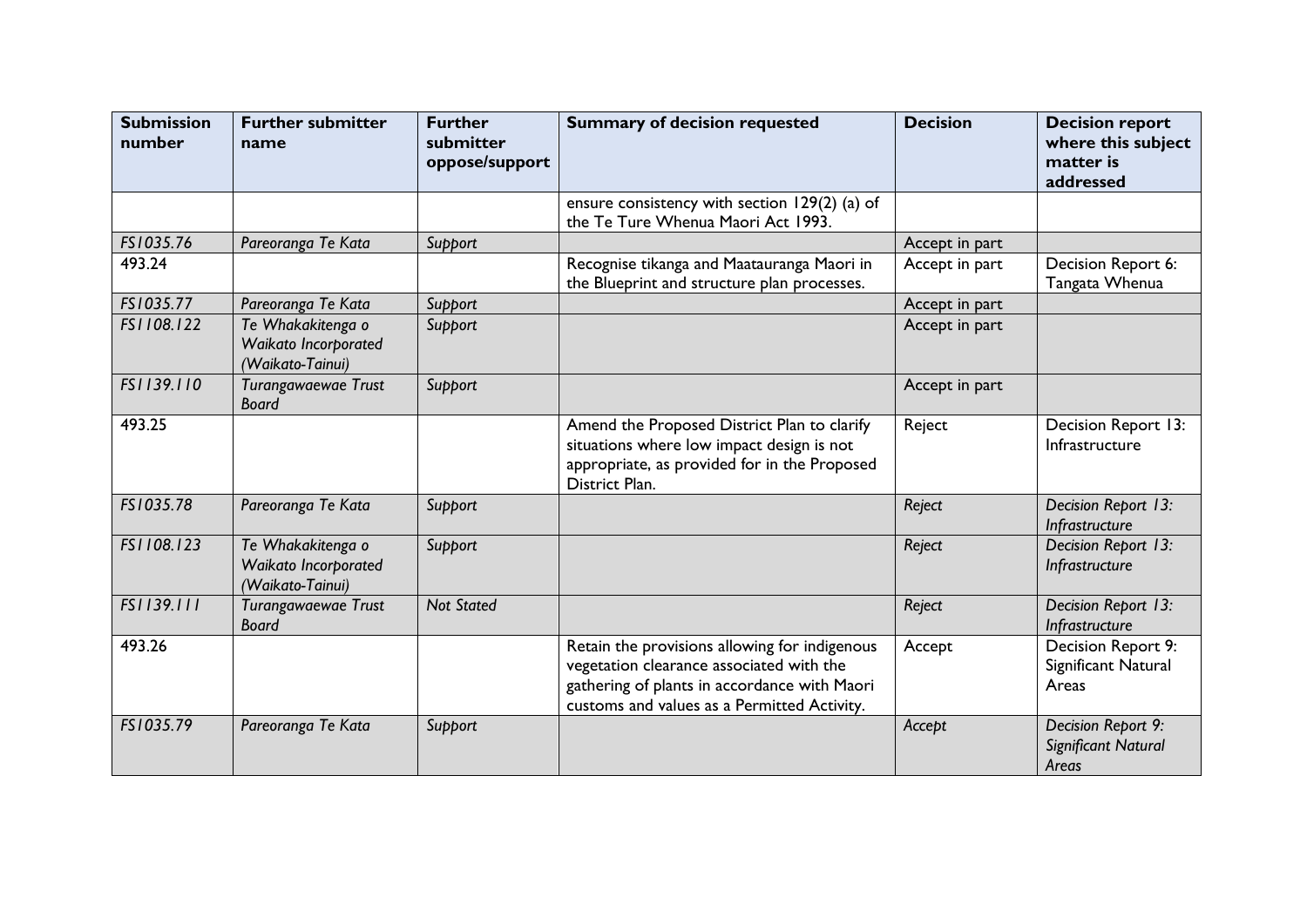| <b>Submission</b><br>number | <b>Further submitter</b><br>name                              | <b>Further</b><br>submitter<br>oppose/support | <b>Summary of decision requested</b>                                                                                                                                                     | <b>Decision</b> | <b>Decision report</b><br>where this subject<br>matter is<br>addressed |
|-----------------------------|---------------------------------------------------------------|-----------------------------------------------|------------------------------------------------------------------------------------------------------------------------------------------------------------------------------------------|-----------------|------------------------------------------------------------------------|
|                             |                                                               |                                               | ensure consistency with section 129(2) (a) of<br>the Te Ture Whenua Maori Act 1993.                                                                                                      |                 |                                                                        |
| FS1035.76                   | Pareoranga Te Kata                                            | Support                                       |                                                                                                                                                                                          | Accept in part  |                                                                        |
| 493.24                      |                                                               |                                               | Recognise tikanga and Maatauranga Maori in<br>the Blueprint and structure plan processes.                                                                                                | Accept in part  | Decision Report 6:<br>Tangata Whenua                                   |
| FS1035.77                   | Pareoranga Te Kata                                            | Support                                       |                                                                                                                                                                                          | Accept in part  |                                                                        |
| FS1108.122                  | Te Whakakitenga o<br>Waikato Incorporated<br>(Waikato-Tainui) | Support                                       |                                                                                                                                                                                          | Accept in part  |                                                                        |
| FS1139.110                  | Turangawaewae Trust<br><b>Board</b>                           | Support                                       |                                                                                                                                                                                          | Accept in part  |                                                                        |
| 493.25                      |                                                               |                                               | Amend the Proposed District Plan to clarify<br>situations where low impact design is not<br>appropriate, as provided for in the Proposed<br>District Plan.                               | Reject          | Decision Report 13:<br>Infrastructure                                  |
| FS1035.78                   | Pareoranga Te Kata                                            | Support                                       |                                                                                                                                                                                          | Reject          | Decision Report 13:<br>Infrastructure                                  |
| FS1108.123                  | Te Whakakitenga o<br>Waikato Incorporated<br>(Waikato-Tainui) | Support                                       |                                                                                                                                                                                          | Reject          | Decision Report 13:<br>Infrastructure                                  |
| FS1139.111                  | Turangawaewae Trust<br><b>Board</b>                           | <b>Not Stated</b>                             |                                                                                                                                                                                          | Reject          | Decision Report 13:<br>Infrastructure                                  |
| 493.26                      |                                                               |                                               | Retain the provisions allowing for indigenous<br>vegetation clearance associated with the<br>gathering of plants in accordance with Maori<br>customs and values as a Permitted Activity. | Accept          | Decision Report 9:<br>Significant Natural<br>Areas                     |
| FS1035.79                   | Pareoranga Te Kata                                            | Support                                       |                                                                                                                                                                                          | Accept          | Decision Report 9:<br>Significant Natural<br>Areas                     |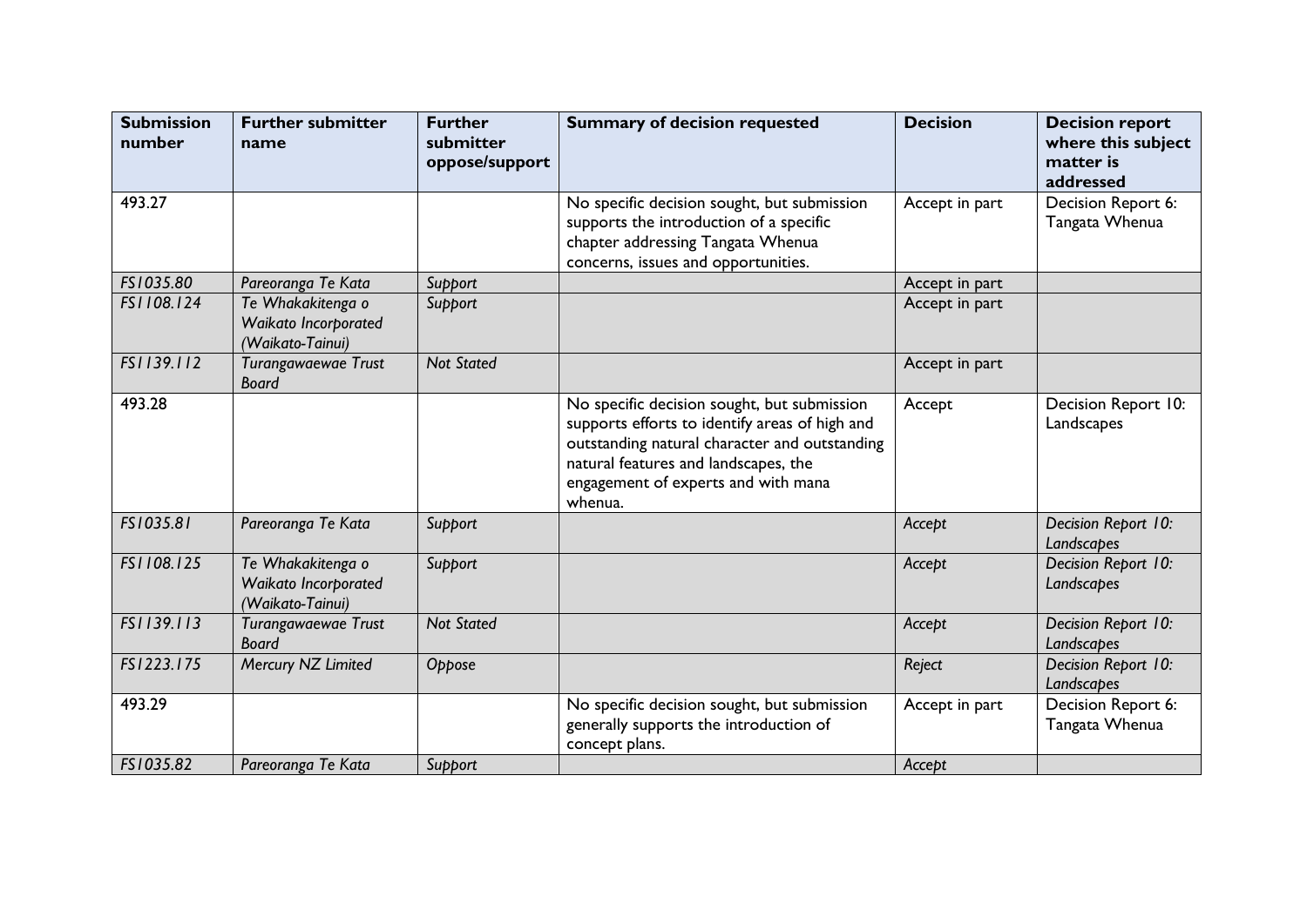| <b>Submission</b><br>number | <b>Further submitter</b><br>name                              | <b>Further</b><br>submitter<br>oppose/support | <b>Summary of decision requested</b>                                                                                                                                                                                                     | <b>Decision</b> | <b>Decision report</b><br>where this subject<br>matter is<br>addressed |
|-----------------------------|---------------------------------------------------------------|-----------------------------------------------|------------------------------------------------------------------------------------------------------------------------------------------------------------------------------------------------------------------------------------------|-----------------|------------------------------------------------------------------------|
| 493.27                      |                                                               |                                               | No specific decision sought, but submission<br>supports the introduction of a specific<br>chapter addressing Tangata Whenua<br>concerns, issues and opportunities.                                                                       | Accept in part  | Decision Report 6:<br>Tangata Whenua                                   |
| FS1035.80                   | Pareoranga Te Kata                                            | Support                                       |                                                                                                                                                                                                                                          | Accept in part  |                                                                        |
| FS1108.124                  | Te Whakakitenga o<br>Waikato Incorporated<br>(Waikato-Tainui) | Support                                       |                                                                                                                                                                                                                                          | Accept in part  |                                                                        |
| FS1139.112                  | Turangawaewae Trust<br><b>Board</b>                           | <b>Not Stated</b>                             |                                                                                                                                                                                                                                          | Accept in part  |                                                                        |
| 493.28                      |                                                               |                                               | No specific decision sought, but submission<br>supports efforts to identify areas of high and<br>outstanding natural character and outstanding<br>natural features and landscapes, the<br>engagement of experts and with mana<br>whenua. | Accept          | Decision Report 10:<br>Landscapes                                      |
| FS1035.81                   | Pareoranga Te Kata                                            | Support                                       |                                                                                                                                                                                                                                          | Accept          | Decision Report 10:<br>Landscapes                                      |
| FS1108.125                  | Te Whakakitenga o<br>Waikato Incorporated<br>(Waikato-Tainui) | Support                                       |                                                                                                                                                                                                                                          | Accept          | Decision Report 10:<br>Landscapes                                      |
| FS1139.113                  | Turangawaewae Trust<br><b>Board</b>                           | <b>Not Stated</b>                             |                                                                                                                                                                                                                                          | Accept          | Decision Report 10:<br>Landscapes                                      |
| FS1223.175                  | Mercury NZ Limited                                            | Oppose                                        |                                                                                                                                                                                                                                          | Reject          | Decision Report 10:<br>Landscapes                                      |
| 493.29                      |                                                               |                                               | No specific decision sought, but submission<br>generally supports the introduction of<br>concept plans.                                                                                                                                  | Accept in part  | Decision Report 6:<br>Tangata Whenua                                   |
| FS1035.82                   | Pareoranga Te Kata                                            | Support                                       |                                                                                                                                                                                                                                          | Accept          |                                                                        |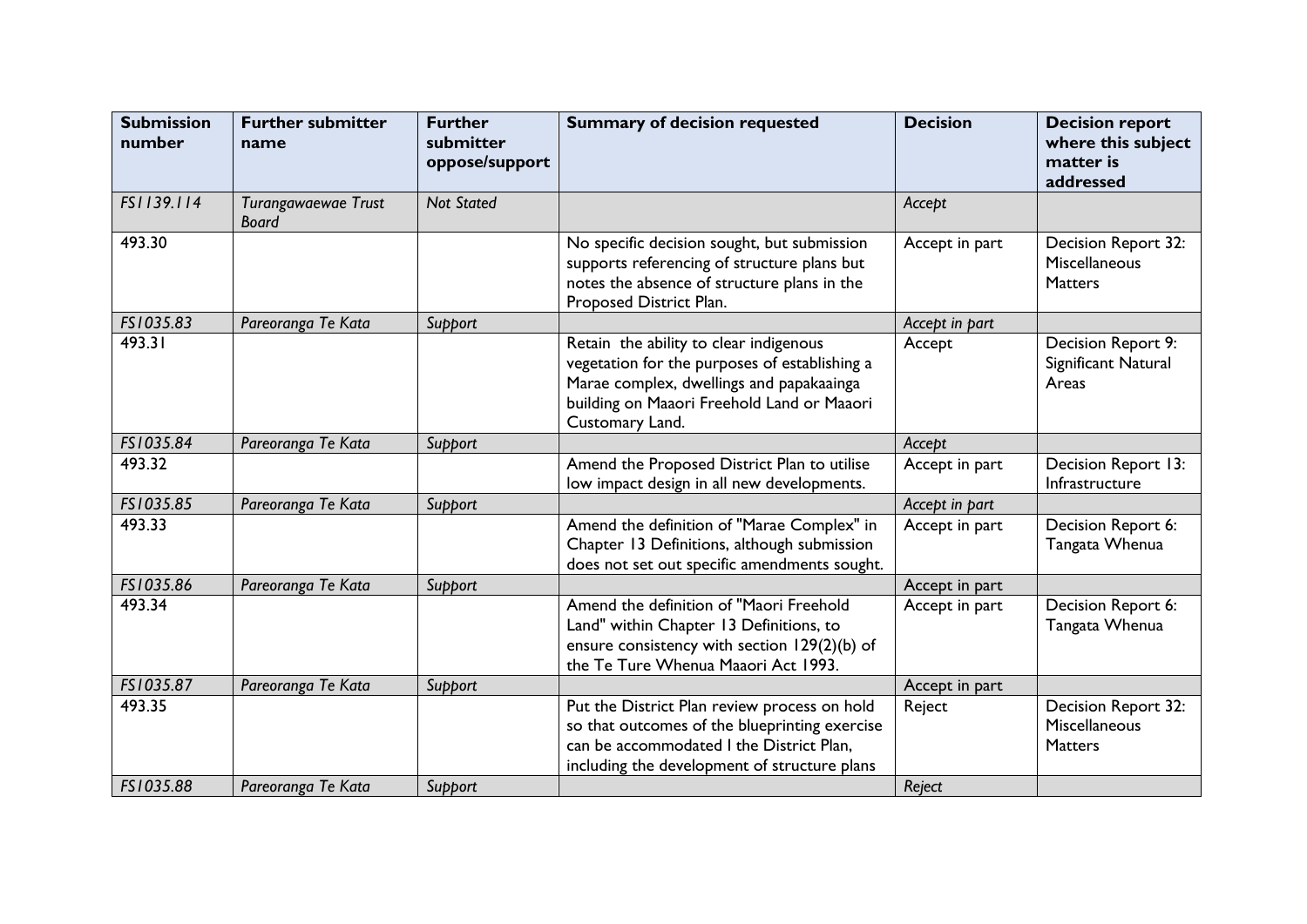| <b>Submission</b><br>number | <b>Further submitter</b><br>name    | <b>Further</b><br>submitter<br>oppose/support | <b>Summary of decision requested</b>                                                                                                                                                                 | <b>Decision</b> | <b>Decision report</b><br>where this subject<br>matter is<br>addressed |
|-----------------------------|-------------------------------------|-----------------------------------------------|------------------------------------------------------------------------------------------------------------------------------------------------------------------------------------------------------|-----------------|------------------------------------------------------------------------|
| FS1139.114                  | Turangawaewae Trust<br><b>Board</b> | <b>Not Stated</b>                             |                                                                                                                                                                                                      | Accept          |                                                                        |
| 493.30                      |                                     |                                               | No specific decision sought, but submission<br>supports referencing of structure plans but<br>notes the absence of structure plans in the<br>Proposed District Plan.                                 | Accept in part  | Decision Report 32:<br>Miscellaneous<br><b>Matters</b>                 |
| FS1035.83                   | Pareoranga Te Kata                  | Support                                       |                                                                                                                                                                                                      | Accept in part  |                                                                        |
| 493.31                      |                                     |                                               | Retain the ability to clear indigenous<br>vegetation for the purposes of establishing a<br>Marae complex, dwellings and papakaainga<br>building on Maaori Freehold Land or Maaori<br>Customary Land. | Accept          | Decision Report 9:<br>Significant Natural<br>Areas                     |
| FS1035.84                   | Pareoranga Te Kata                  | Support                                       |                                                                                                                                                                                                      | Accept          |                                                                        |
| 493.32                      |                                     |                                               | Amend the Proposed District Plan to utilise<br>low impact design in all new developments.                                                                                                            | Accept in part  | Decision Report 13:<br>Infrastructure                                  |
| FS1035.85                   | Pareoranga Te Kata                  | Support                                       |                                                                                                                                                                                                      | Accept in part  |                                                                        |
| 493.33                      |                                     |                                               | Amend the definition of "Marae Complex" in<br>Chapter 13 Definitions, although submission<br>does not set out specific amendments sought.                                                            | Accept in part  | Decision Report 6:<br>Tangata Whenua                                   |
| FS1035.86                   | Pareoranga Te Kata                  | Support                                       |                                                                                                                                                                                                      | Accept in part  |                                                                        |
| 493.34                      |                                     |                                               | Amend the definition of "Maori Freehold<br>Land" within Chapter 13 Definitions, to<br>ensure consistency with section 129(2)(b) of<br>the Te Ture Whenua Maaori Act 1993.                            | Accept in part  | Decision Report 6:<br>Tangata Whenua                                   |
| FS1035.87                   | Pareoranga Te Kata                  | Support                                       |                                                                                                                                                                                                      | Accept in part  |                                                                        |
| 493.35                      |                                     |                                               | Put the District Plan review process on hold<br>so that outcomes of the blueprinting exercise<br>can be accommodated I the District Plan,<br>including the development of structure plans            | Reject          | Decision Report 32:<br>Miscellaneous<br><b>Matters</b>                 |
| FS1035.88                   | Pareoranga Te Kata                  | Support                                       |                                                                                                                                                                                                      | Reject          |                                                                        |